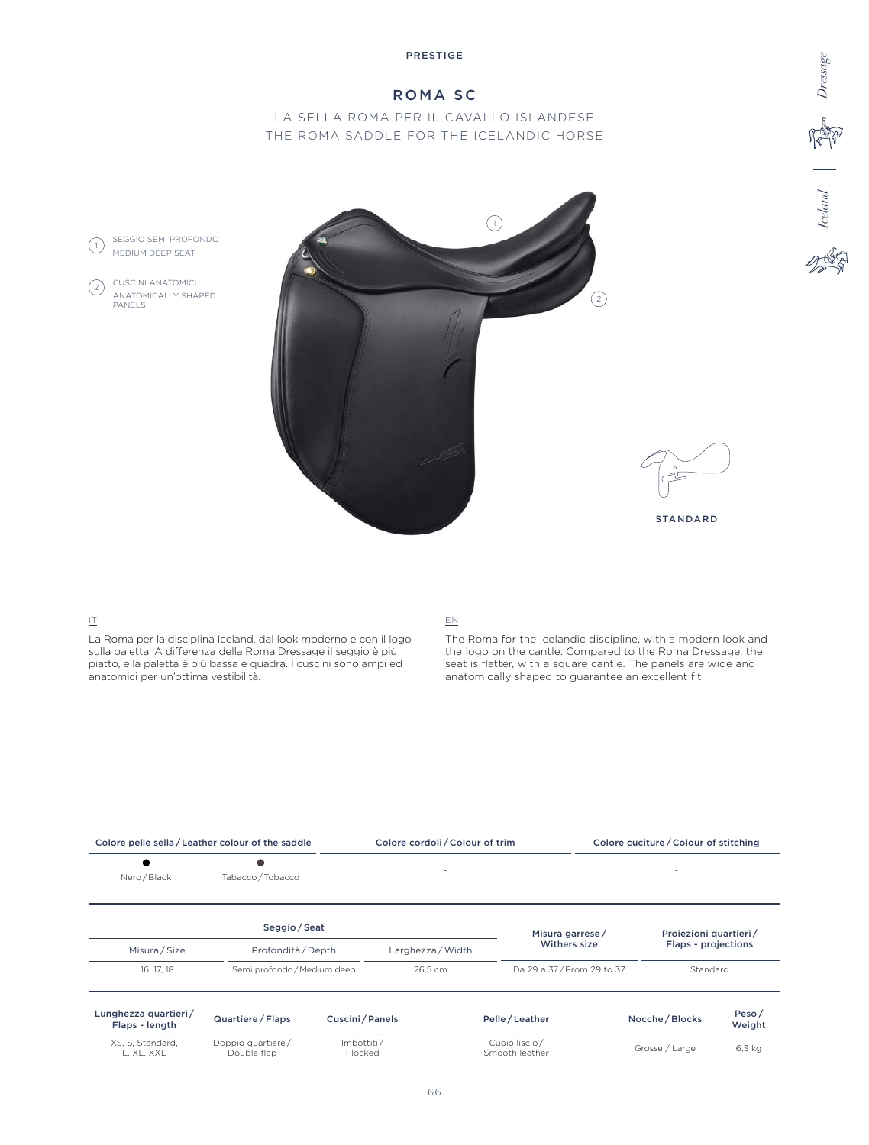# ROMA SC

# LA SELLA ROMA PER IL CAVALLO ISLANDESE THE ROMA SADDLE FOR THE ICELANDIC HORSE





**Iceland** 

**Repair** Dressage

STANDARD

### IT

SEGGIO SEMI PROFONDO MEDIUM DEEP SEAT

CUSCINI ANATOMICI ANATOMICALLY SHAPED

PANELS

 $(1)$ 

 $\left( 2\right)$ 

La Roma per la disciplina Iceland, dal look moderno e con il logo sulla paletta. A differenza della Roma Dressage il seggio è più piatto, e la paletta è più bassa e quadra. I cuscini sono ampi ed anatomici per un'ottima vestibilità.

### EN

The Roma for the Icelandic discipline, with a modern look and the logo on the cantle. Compared to the Roma Dressage, the seat is flatter, with a square cantle. The panels are wide and anatomically shaped to guarantee an excellent fit.

| Colore pelle sella/Leather colour of the saddle |                                  |                       | Colore cordoli / Colour of trim |                                 |                          | Colore cuciture / Colour of stitching |                            |                 |  |
|-------------------------------------------------|----------------------------------|-----------------------|---------------------------------|---------------------------------|--------------------------|---------------------------------------|----------------------------|-----------------|--|
| Nero / Black                                    | Tabacco / Tobacco                |                       |                                 | ٠                               |                          |                                       |                            |                 |  |
|                                                 | Seggio / Seat                    |                       |                                 |                                 | Misura garrese/          |                                       | Proiezioni quartieri/      |                 |  |
| Misura / Size                                   | Profondità / Depth               |                       | Larghezza / Width               |                                 | Withers size             |                                       | <b>Flaps - projections</b> |                 |  |
| 16, 17, 18                                      | Semi profondo / Medium deep      |                       | 26.5 cm                         |                                 | Da 29 a 37/From 29 to 37 |                                       | Standard                   |                 |  |
| Lunghezza quartieri/<br>Flaps - length          | Quartiere / Flaps                | Cuscini / Panels      |                                 |                                 | Pelle / Leather          |                                       | Nocche / Blocks            | Peso/<br>Weight |  |
| XS, S, Standard,<br>L, XL, XXL                  | Doppio quartiere/<br>Double flap | Imbottiti/<br>Flocked |                                 | Cuoio liscio/<br>Smooth leather |                          |                                       | Grosse / Large             |                 |  |